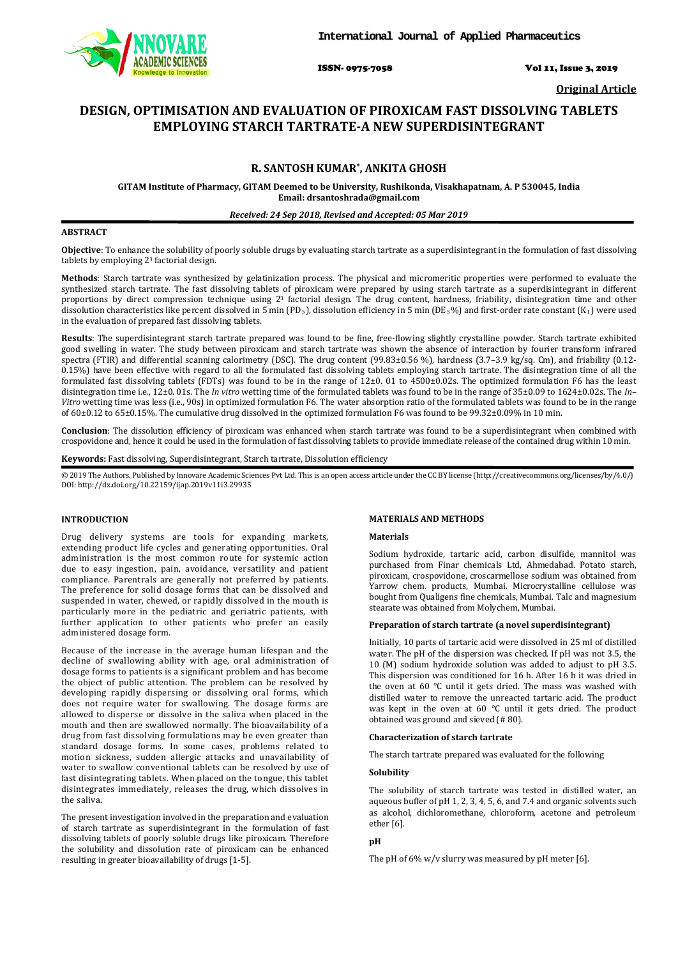

ISSN- 0975-7058 Vol 11, Issue 3, 2019

**Original Article**

# **DESIGN, OPTIMISATION AND EVALUATION OF PIROXICAM FAST DISSOLVING TABLETS EMPLOYING STARCH TARTRATE-A NEW SUPERDISINTEGRANT**

## **R. SANTOSH KUMAR\* , ANKITA GHOSH**

**GITAM Institute of Pharmacy, GITAM Deemed to be University, Rushikonda, Visakhapatnam, A. P 530045, India Email: drsantoshrada@gmail.com**

## *Received: 24 Sep 2018, Revised and Accepted: 05 Mar 2019*

## **ABSTRACT**

**Objective**: To enhance the solubility of poorly soluble drugs by evaluating starch tartrate as a superdisintegrant in the formulation of fast dissolving tablets by employing 23 factorial design.

**Methods**: Starch tartrate was synthesized by gelatinization process. The physical and micromeritic properties were performed to evaluate the synthesized starch tartrate. The fast dissolving tablets of piroxicam were prepared by using starch tartrate as a superdisintegrant in different proportions by direct compression technique using 2 <sup>3</sup> factorial design. The drug content, hardness, friability, disintegration time and other dissolution characteristics like percent dissolved in 5 min (PD<sub>5</sub>), dissolution efficiency in 5 min (DE<sub>5</sub>%) and first-order rate constant (K<sub>1</sub>) were used in the evaluation of prepared fast dissolving tablets.

**Results**: The superdisintegrant starch tartrate prepared was found to be fine, free-flowing slightly crystalline powder. Starch tartrate exhibited good swelling in water. The study between piroxicam and starch tartrate was shown the absence of interaction by fourier transform infrared spectra (FTIR) and differential scanning calorimetry (DSC). The drug content (99.83±0.56 %), hardness (3.7–3.9 kg/sq. Cm), and friability (0.12-0.15%) have been effective with regard to all the formulated fast dissolving tablets employing starch tartrate. The disintegration time of all the formulated fast dissolving tablets (FDTs) was found to be in the range of 12±0. 01 to 4500±0.02s. The optimized formulation F6 has the least disintegration time i.e., 12±0. 01s. The *In vitro* wetting time of the formulated tablets was found to be in the range of 35±0.09 to 1624±0.02s. The *In– Vitro* wetting time was less (i.e., 90s) in optimized formulation F6. The water absorption ratio of the formulated tablets was found to be in the range of 60±0.12 to 65±0.15%. The cumulative drug dissolved in the optimized formulation F6 was found to be 99.32±0.09% in 10 min.

**Conclusion**: The dissolution efficiency of piroxicam was enhanced when starch tartrate was found to be a superdisintegrant when combined with crospovidone and, hence it could be used in the formulation of fast dissolving tablets to provide immediate release of the contained drug within 10 min.

**Keywords:** Fast dissolving, Superdisintegrant, Starch tartrate, Dissolution efficiency

© 2019 The Authors. Published by Innovare Academic Sciences Pvt Ltd. This is an open access article under the CC BY license [\(http://creativecommons.org/licenses/by/4.0/\)](http://creativecommons.org/licenses/by/4.0/) DOI: http://dx.doi.org/10.22159/ijap.2019v11i3.29935

## **INTRODUCTION**

Drug delivery systems are tools for expanding markets, extending product life cycles and generating opportunities. Oral administration is the most common route for systemic action due to easy ingestion, pain, avoidance, versatility and patient compliance. Parentrals are generally not preferred by patients. The preference for solid dosage forms that can be dissolved and suspended in water, chewed, or rapidly dissolved in the mouth is particularly more in the pediatric and geriatric patients, with further application to other patients who prefer an easily administered dosage form.

Because of the increase in the average human lifespan and the decline of swallowing ability with age, oral administration of dosage forms to patients is a significant problem and has become the object of public attention. The problem can be resolved by developing rapidly dispersing or dissolving oral forms, which does not require water for swallowing. The dosage forms are allowed to disperse or dissolve in the saliva when placed in the mouth and then are swallowed normally. The bioavailability of a drug from fast dissolving formulations may be even greater than standard dosage forms. In some cases, problems related to motion sickness, sudden allergic attacks and unavailability of water to swallow conventional tablets can be resolved by use of fast disintegrating tablets. When placed on the tongue, this tablet disintegrates immediately, releases the drug, which dissolves in the saliva.

The present investigation involved in the preparation and evaluation of starch tartrate as superdisintegrant in the formulation of fast dissolving tablets of poorly soluble drugs like piroxicam. Therefore the solubility and dissolution rate of piroxicam can be enhanced resulting in greater bioavailability of drugs [1-5].

## **MATERIALS AND METHODS**

#### **Materials**

Sodium hydroxide, tartaric acid, carbon disulfide, mannitol was purchased from Finar chemicals Ltd, Ahmedabad. Potato starch, piroxicam, crospovidone, croscarmellose sodium was obtained from Yarrow chem. products, Mumbai. Microcrystalline cellulose was bought from Qualigens fine chemicals, Mumbai. Talc and magnesium stearate was obtained from Molychem, Mumbai.

#### **Preparation of starch tartrate (a novel superdisintegrant)**

Initially, 10 parts of tartaric acid were dissolved in 25 ml of distilled water. The pH of the dispersion was checked. If pH was not 3.5, the 10 (M) sodium hydroxide solution was added to adjust to pH 3.5. This dispersion was conditioned for 16 h. After 16 h it was dried in the oven at 60 °C until it gets dried. The mass was washed with distilled water to remove the unreacted tartaric acid. The product was kept in the oven at 60 °C until it gets dried. The product obtained was ground and sieved (# 80).

## **Characterization of starch tartrate**

The starch tartrate prepared was evaluated for the following

## **Solubility**

The solubility of starch tartrate was tested in distilled water, an aqueous buffer of pH 1, 2, 3, 4, 5, 6, and 7.4 and organic solvents such as alcohol, dichloromethane, chloroform, acetone and petroleum ether [6].

## **pH**

The pH of 6% w/v slurry was measured by pH meter [6].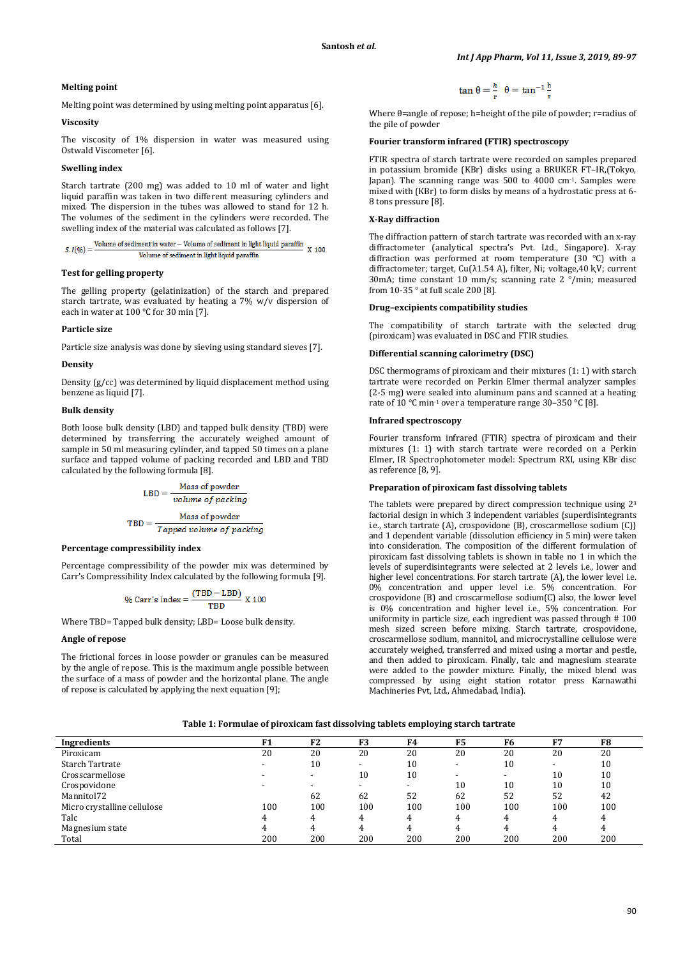#### **Melting point**

Melting point was determined by using melting point apparatus [6].

#### **Viscosity**

The viscosity of 1% dispersion in water was measured using Ostwald Viscometer [6].

#### **Swelling index**

Starch tartrate (200 mg) was added to 10 ml of water and light liquid paraffin was taken in two different measuring cylinders and mixed. The dispersion in the tubes was allowed to stand for 12 h. The volumes of the sediment in the cylinders were recorded. The

```
swelling index of the material was calculated as follows [7].<br>
S.I(96) = Volume of sediment in water – Volume of sediment in light liquid paraffin<br>
\frac{1}{2} x 100
                                          Volume of sediment in light liquid paraffin
```
## **Test for gelling property**

The gelling property (gelatinization) of the starch and prepared starch tartrate, was evaluated by heating a 7% w/v dispersion of each in water at 100 °C for 30 min [7].

## **Particle size**

Particle size analysis was done by sieving using standard sieves [7].

#### **Density**

Density (g/cc) was determined by liquid displacement method using benzene as liquid [7].

#### **Bulk density**

Both loose bulk density (LBD) and tapped bulk density (TBD) were determined by transferring the accurately weighed amount of sample in 50 ml measuring cylinder, and tapped 50 times on a plane surface and tapped volume of packing recorded and LBD and TBD calculated by the following formula [8].

$$
\text{LBD} = \frac{\text{Mass of powder}}{\text{volume of packing}}
$$
\n
$$
\text{TBD} = \frac{\text{Mass of powder}}{\text{Tapped volume of packing}}
$$

## **Percentage compressibility index**

Percentage compressibility of the powder mix was determined by Carr's Compressibility Index calculated by the following formula [9].

% Carr's Index = 
$$
\frac{(TBD - LBD)}{TBD} \times 100
$$

Where TBD= Tapped bulk density; LBD= Loose bulk density.

## **Angle of repose**

The frictional forces in loose powder or granules can be measured by the angle of repose. This is the maximum angle possible between the surface of a mass of powder and the horizontal plane. The angle of repose is calculated by applying the next equation [9];

$$
\tan \theta = \frac{h}{r} \ \theta = \tan^{-1} \frac{h}{r}
$$

Where θ=angle of repose; h=height of the pile of powder; r=radius of the pile of powder

#### **Fourier transform infrared (FTIR) spectroscopy**

FTIR spectra of starch tartrate were recorded on samples prepared in potassium bromide (KBr) disks using a BRUKER FT–IR,(Tokyo, Japan). The scanning range was 500 to 4000 cm-1 . Samples were mixed with (KBr) to form disks by means of a hydrostatic press at 6- 8 tons pressure [8].

## **X-Ray diffraction**

The diffraction pattern of starch tartrate was recorded with an x-ray diffractometer (analytical spectra's Pvt. Ltd., Singapore). X-ray diffraction was performed at room temperature (30 °C) with a diffractometer; target, Cu( $\lambda$ 1.54 A), filter, Ni; voltage, 40 kV; current 30mA; time constant 10 mm/s; scanning rate 2  $\degree$ /min; measured from 10-35 ° at full scale 200 [8].

#### **Drug–excipients compatibility studies**

The compatibility of starch tartrate with the selected drug (piroxicam) was evaluated in DSC and FTIR studies.

## **Differential scanning calorimetry (DSC)**

DSC thermograms of piroxicam and their mixtures (1: 1) with starch tartrate were recorded on Perkin Elmer thermal analyzer samples (2-5 mg) were sealed into aluminum pans and scanned at a heating rate of 10 °C min-1 over a temperature range 30–350 °C [8].

#### **Infrared spectroscopy**

Fourier transform infrared (FTIR) spectra of piroxicam and their mixtures (1: 1) with starch tartrate were recorded on a Perkin Elmer, IR Spectrophotometer model: Spectrum RXI, using KBr disc as reference [8, 9].

#### **Preparation of piroxicam fast dissolving tablets**

The tablets were prepared by direct compression technique using  $2<sup>3</sup>$ factorial design in which 3 independent variables {superdisintegrants i.e., starch tartrate (A), crospovidone (B), croscarmellose sodium (C)} and 1 dependent variable (dissolution efficiency in 5 min) were taken into consideration. The composition of the different formulation of piroxicam fast dissolving tablets is shown in table no 1 in which the levels of superdisintegrants were selected at 2 levels i.e., lower and higher level concentrations. For starch tartrate (A), the lower level i.e. 0% concentration and upper level i.e. 5% concentration. For crospovidone (B) and croscarmellose sodium( $C$ ) also, the lower level is 0% concentration and higher level i.e., 5% concentration. For uniformity in particle size, each ingredient was passed through # 100 mesh sized screen before mixing. Starch tartrate, crospovidone, croscarmellose sodium, mannitol, and microcrystalline cellulose were accurately weighed, transferred and mixed using a mortar and pestle, and then added to piroxicam. Finally, talc and magnesium stearate were added to the powder mixture. Finally, the mixed blend was compressed by using eight station rotator press Karnawathi Machineries Pvt, Ltd., Ahmedabad, India).

| Ingredients                 | F <sub>1</sub>           | F <sub>2</sub> | F <sub>3</sub>           | F4  | F <sub>5</sub> | F6  | F7                       | F8  |
|-----------------------------|--------------------------|----------------|--------------------------|-----|----------------|-----|--------------------------|-----|
| Piroxicam                   | 20                       | 20             | 20                       | 20  | 20             | 20  | 20                       | 20  |
| <b>Starch Tartrate</b>      | $\overline{\phantom{a}}$ | 10             | $\overline{\phantom{0}}$ | 10  |                | 10  | $\overline{\phantom{a}}$ | 10  |
| Crosscarmellose             | -                        | $\,$           | 10                       | 10  |                | -   | 10                       | 10  |
| Crospovidone                | -                        | -              |                          |     | 10             | 10  | 10                       | 10  |
| Mannitol72                  |                          | 62             | 62                       | 52  | 62             | 52  | 52                       | 42  |
| Micro crystalline cellulose | 100                      | 100            | 100                      | 100 | 100            | 100 | 100                      | 100 |
| Talc                        | 4                        | 4              | 4                        | 4   | 4              | 4   | 4                        | 4   |
| Magnesium state             | 4                        |                | 4                        |     |                | 4   | 4                        |     |
| Total                       | 200                      | 200            | 200                      | 200 | 200            | 200 | 200                      | 200 |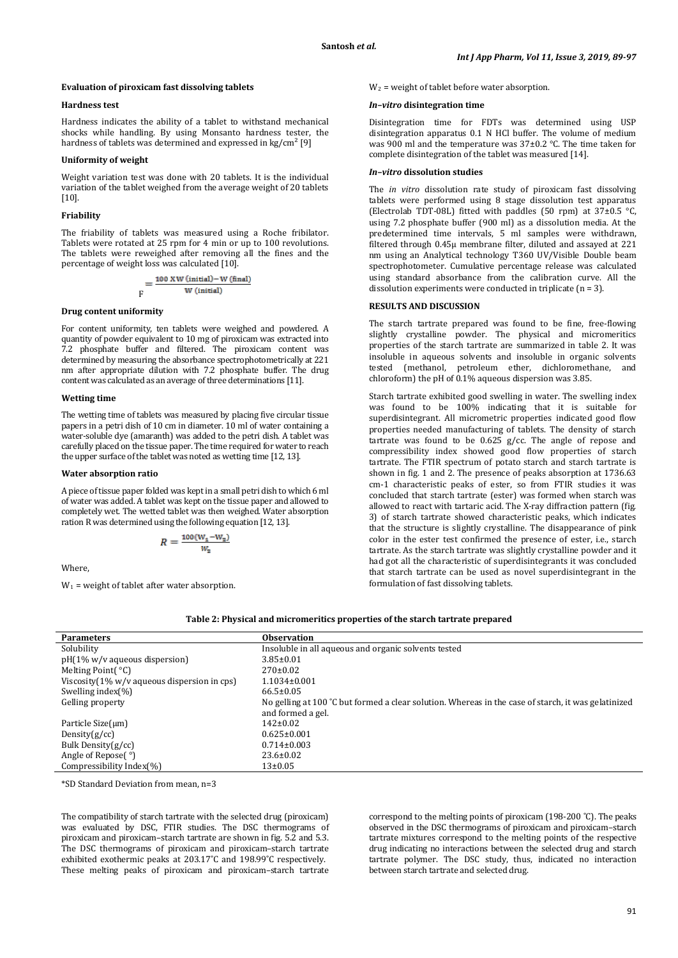#### **Evaluation of piroxicam fast dissolving tablets**

#### **Hardness test**

Hardness indicates the ability of a tablet to withstand mechanical shocks while handling. By using Monsanto hardness tester, the hardness of tablets was determined and expressed in kg/cm<sup>2</sup> [9]

## **Uniformity of weight**

Weight variation test was done with 20 tablets. It is the individual variation of the tablet weighed from the average weight of 20 tablets [10].

#### **Friability**

The friability of tablets was measured using a Roche fribilator. Tablets were rotated at 25 rpm for 4 min or up to 100 revolutions. The tablets were reweighed after removing all the fines and the percentage of weight loss was calculated [10].

$$
= \frac{{100\;XW\left( {initial} \right) - W\left( {final} \right)}}{W\left( {initial} \right)}
$$

#### **Drug content uniformity**

For content uniformity, ten tablets were weighed and powdered. A quantity of powder equivalent to 10 mg of piroxicam was extracted into 7.2 phosphate buffer and filtered. The piroxicam content was determined by measuring the absorbance spectrophotometrically at 221 nm after appropriate dilution with 7.2 phosphate buffer. The drug content was calculated as an average of three determinations [11].

#### **Wetting time**

The wetting time of tablets was measured by placing five circular tissue papers in a petri dish of 10 cm in diameter. 10 ml of water containing a water-soluble dye (amaranth) was added to the petri dish. A tablet was carefully placed on the tissue paper. The time required for water to reach the upper surface of the tablet was noted as wetting time [12, 13].

#### **Water absorption ratio**

A piece of tissue paper folded was kept in a small petri dish to which 6 ml of water was added. A tablet was kept on the tissue paper and allowed to completely wet. The wetted tablet was then weighed. Water absorption ration R was determined using the following equation [12, 13].

$$
R = \frac{100(\mathrm{W}_1 - \mathrm{W}_2)}{W_2}
$$

Where,

 $W_1$  = weight of tablet after water absorption.

W 2 = weight of tablet before water absorption.

## *In–vitro* **disintegration time**

Disintegration time for FDTs was determined using USP disintegration apparatus 0.1 N HCl buffer. The volume of medium was 900 ml and the temperature was 37±0.2 °C. The time taken for complete disintegration of the tablet was measured [14].

#### *In–vitro* **dissolution studies**

The *in vitro* dissolution rate study of piroxicam fast dissolving tablets were performed using 8 stage dissolution test apparatus (Electrolab TDT-08L) fitted with paddles (50 rpm) at 37±0.5 °C, using 7.2 phosphate buffer (900 ml) as a dissolution media. At the predetermined time intervals, 5 ml samples were withdrawn, filtered through 0.45µ membrane filter, diluted and assayed at 221 nm using an Analytical technology T360 UV/Visible Double beam spectrophotometer. Cumulative percentage release was calculated using standard absorbance from the calibration curve. All the dissolution experiments were conducted in triplicate (n = 3).

#### **RESULTS AND DISCUSSION**

The starch tartrate prepared was found to be fine, free-flowing slightly crystalline powder. The physical and micromeritics properties of the starch tartrate are summarized in table 2. It was insoluble in aqueous solvents and insoluble in organic solvents tested (methanol, petroleum ether, dichloromethane, and chloroform) the pH of 0.1% aqueous dispersion was 3.85.

Starch tartrate exhibited good swelling in water. The swelling index was found to be 100% indicating that it is suitable for superdisintegrant. All micrometric properties indicated good flow properties needed manufacturing of tablets. The density of starch tartrate was found to be 0.625 g/cc. The angle of repose and compressibility index showed good flow properties of starch tartrate. The FTIR spectrum of potato starch and starch tartrate is shown in fig. 1 and 2. The presence of peaks absorption at 1736.63 cm-1 characteristic peaks of ester, so from FTIR studies it was concluded that starch tartrate (ester) was formed when starch was allowed to react with tartaric acid. The X-ray diffraction pattern (fig. 3) of starch tartrate showed characteristic peaks, which indicates that the structure is slightly crystalline. The disappearance of pink color in the ester test confirmed the presence of ester, i.e., starch tartrate. As the starch tartrate was slightly crystalline powder and it had got all the characteristic of superdisintegrants it was concluded that starch tartrate can be used as novel superdisintegrant in the formulation of fast dissolving tablets.

| Table 2: Physical and micromeritics properties of the starch tartrate prepared |  |  |
|--------------------------------------------------------------------------------|--|--|
|                                                                                |  |  |

| <b>Parameters</b>                           | <b>Observation</b>                                                                                  |
|---------------------------------------------|-----------------------------------------------------------------------------------------------------|
| Solubility                                  | Insoluble in all aqueous and organic solvents tested                                                |
| $pH(1\% w/v)$ aqueous dispersion            | $3.85 \pm 0.01$                                                                                     |
| Melting Point $(°C)$                        | $270 \pm 0.02$                                                                                      |
| Viscosity(1% w/v aqueous dispersion in cps) | $1.1034 \pm 0.001$                                                                                  |
| Swelling index $(\%)$                       | $66.5 \pm 0.05$                                                                                     |
| Gelling property                            | No gelling at 100 °C but formed a clear solution. Whereas in the case of starch, it was gelatinized |
|                                             | and formed a gel.                                                                                   |
| Particle Size(um)                           | $142 \pm 0.02$                                                                                      |
| Density $(g/cc)$                            | $0.625 \pm 0.001$                                                                                   |
| Bulk Density $(g/cc)$                       | $0.714 \pm 0.003$                                                                                   |
| Angle of Repose( <sup>o</sup> )             | $23.6 \pm 0.02$                                                                                     |
| Compressibility Index(%)                    | $13 \pm 0.05$                                                                                       |

\*SD Standard Deviation from mean, n=3

The compatibility of starch tartrate with the selected drug (piroxicam) was evaluated by DSC, FTIR studies. The DSC thermograms of piroxicam and piroxicam–starch tartrate are shown in fig. 5.2 and 5.3. The DSC thermograms of piroxicam and piroxicam–starch tartrate exhibited exothermic peaks at 203.17°C and 198.99°C respectively. These melting peaks of piroxicam and piroxicam–starch tartrate

correspond to the melting points of piroxicam (198-200 ˚C). The peaks observed in the DSC thermograms of piroxicam and piroxicam–starch tartrate mixtures correspond to the melting points of the respective drug indicating no interactions between the selected drug and starch tartrate polymer. The DSC study, thus, indicated no interaction between starch tartrate and selected drug.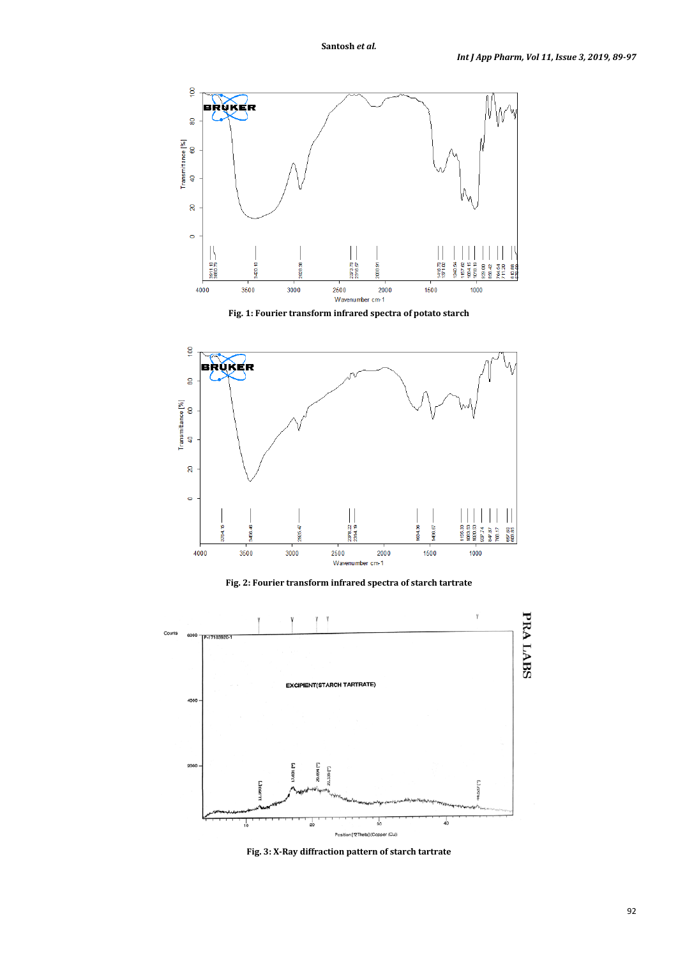

**Fig. 1: Fourier transform infrared spectra of potato starch**



**Fig. 2: Fourier transform infrared spectra of starch tartrate**



**Fig. 3: X-Ray diffraction pattern of starch tartrate**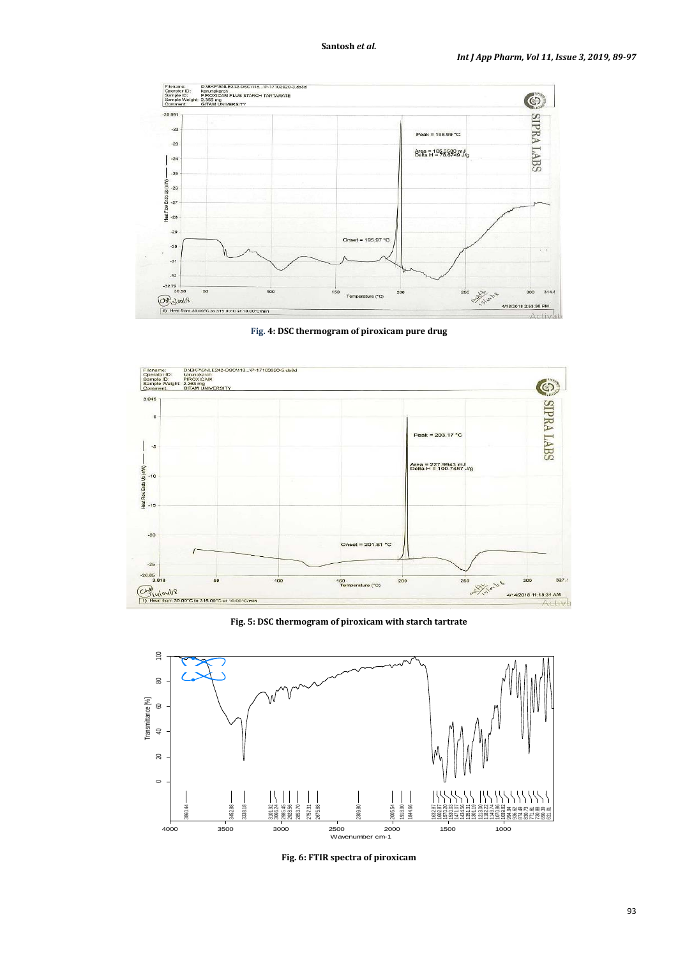

**Fig. 4: DSC thermogram of piroxicam pure drug**



**Fig. 5: DSC thermogram of piroxicam with starch tartrate**



**Fig. 6: FTIR spectra of piroxicam**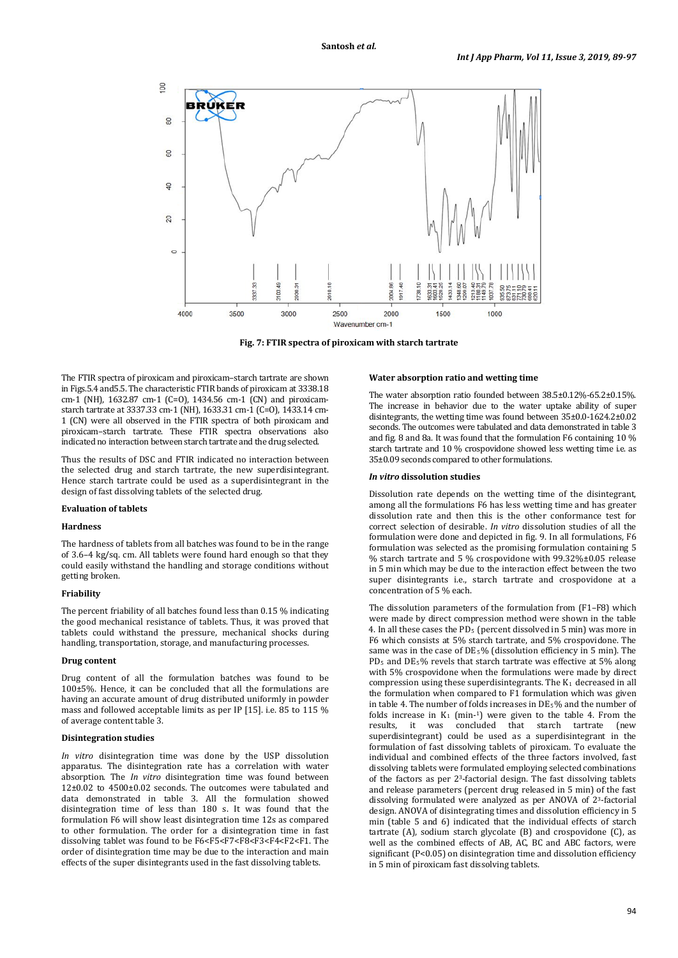

**Fig. 7: FTIR spectra of piroxicam with starch tartrate**

The FTIR spectra of piroxicam and piroxicam–starch tartrate are shown in Figs.5.4 and5.5. The characteristic FTIR bands of piroxicam at 3338.18 cm-1 (NH), 1632.87 cm-1 (C=O), 1434.56 cm-1 (CN) and piroxicamstarch tartrate at 3337.33 cm-1 (NH), 1633.31 cm-1 (C=O), 1433.14 cm-1 (CN) were all observed in the FTIR spectra of both piroxicam and piroxicam–starch tartrate. These FTIR spectra observations also indicated no interaction between starch tartrate and the drug selected.

Thus the results of DSC and FTIR indicated no interaction between the selected drug and starch tartrate, the new superdisintegrant. Hence starch tartrate could be used as a superdisintegrant in the design of fast dissolving tablets of the selected drug.

## **Evaluation of tablets**

## **Hardness**

The hardness of tablets from all batches was found to be in the range of 3.6–4 kg/sq. cm. All tablets were found hard enough so that they could easily withstand the handling and storage conditions without getting broken.

#### **Friability**

The percent friability of all batches found less than 0.15 % indicating the good mechanical resistance of tablets. Thus, it was proved that tablets could withstand the pressure, mechanical shocks during handling, transportation, storage, and manufacturing processes.

#### **Drug content**

Drug content of all the formulation batches was found to be 100±5%. Hence, it can be concluded that all the formulations are having an accurate amount of drug distributed uniformly in powder mass and followed acceptable limits as per IP [15]. i.e. 85 to 115 % of average content table 3.

#### **Disintegration studies**

*In vitro* disintegration time was done by the USP dissolution apparatus. The disintegration rate has a correlation with water absorption. The *In vitro* disintegration time was found between 12±0.02 to 4500±0.02 seconds. The outcomes were tabulated and data demonstrated in table 3. All the formulation showed disintegration time of less than 180 s. It was found that the formulation F6 will show least disintegration time 12s as compared to other formulation. The order for a disintegration time in fast dissolving tablet was found to be F6<F5<F7<F8<F3<F4<F2<F1. The order of disintegration time may be due to the interaction and main effects of the super disintegrants used in the fast dissolving tablets.

#### **Water absorption ratio and wetting time**

The water absorption ratio founded between 38.5±0.12%-65.2±0.15%. The increase in behavior due to the water uptake ability of super disintegrants, the wetting time was found between 35±0.0-1624.2±0.02 seconds. The outcomes were tabulated and data demonstrated in table 3 and fig. 8 and 8a. It was found that the formulation F6 containing 10 % starch tartrate and 10 % crospovidone showed less wetting time i.e. as 35±0.09 seconds compared to other formulations.

#### *In vitro* **dissolution studies**

Dissolution rate depends on the wetting time of the disintegrant, among all the formulations F6 has less wetting time and has greater dissolution rate and then this is the other conformance test for correct selection of desirable. *In vitro* dissolution studies of all the formulation were done and depicted in fig. 9. In all formulations, F6 formulation was selected as the promising formulation containing 5 % starch tartrate and 5 % crospovidone with 99.32%±0.05 release in 5 min which may be due to the interaction effect between the two super disintegrants i.e., starch tartrate and crospovidone at a concentration of 5 % each.

The dissolution parameters of the formulation from (F1–F8) which were made by direct compression method were shown in the table 4. In all these cases the PD<sub>5</sub> (percent dissolved in 5 min) was more in F6 which consists at 5% starch tartrate, and 5% crospovidone. The same was in the case of DE5% (dissolution efficiency in 5 min). The  $PD_5$  and  $DE_5\%$  revels that starch tartrate was effective at 5% along with 5% crospovidone when the formulations were made by direct compression using these superdisintegrants. The  $K_1$  decreased in all the formulation when compared to F1 formulation which was given in table 4. The number of folds increases in  $DE_5\%$  and the number of folds increase in  $K_1$  (min-1) were given to the table 4. From the results, it was concluded that starch tartrate (new superdisintegrant) could be used as a superdisintegrant in the formulation of fast dissolving tablets of piroxicam. To evaluate the individual and combined effects of the three factors involved, fast dissolving tablets were formulated employing selected combinations of the factors as per 23-factorial design. The fast dissolving tablets and release parameters (percent drug released in 5 min) of the fast dissolving formulated were analyzed as per ANOVA of 23-factorial design. ANOVA of disintegrating times and dissolution efficiency in 5 min (table 5 and 6) indicated that the individual effects of starch tartrate (A), sodium starch glycolate (B) and crospovidone (C), as well as the combined effects of AB, AC, BC and ABC factors, were significant (P<0.05) on disintegration time and dissolution efficiency in 5 min of piroxicam fast dissolving tablets.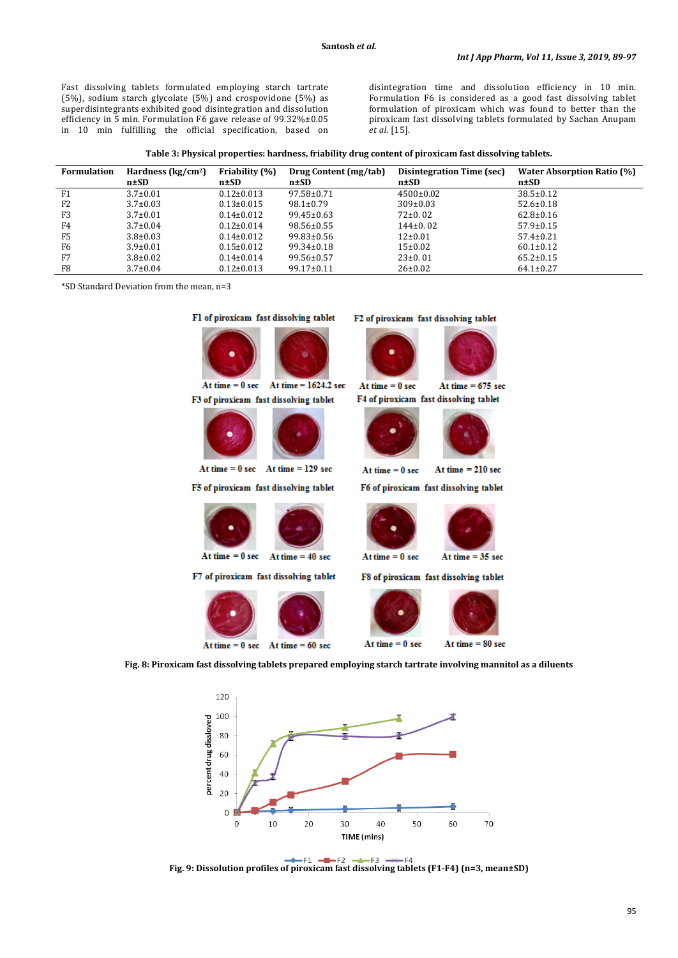Fast dissolving tablets formulated employing starch tartrate (5%), sodium starch glycolate (5%) and crospovidone (5%) as superdisintegrants exhibited good disintegration and dissolution efficiency in 5 min. Formulation F6 gave release of 99.32%±0.05 in 10 min fulfilling the official specification, based on disintegration time and dissolution efficiency in 10 min. Formulation F6 is considered as a good fast dissolving tablet formulation of piroxicam which was found to better than the piroxicam fast dissolving tablets formulated by Sachan Anupam *et al.* [15].

| <b>Formulation</b> | Hardness $(kg/cm2)$ | Friability (%)   | Drug Content (mg/tab) | Disintegration Time (sec) | <b>Water Absorption Ratio (%)</b> |
|--------------------|---------------------|------------------|-----------------------|---------------------------|-----------------------------------|
|                    | $n \pm SD$          | npm SD           | npm SD                | $n \pm SD$                | $n\pm SD$                         |
| F <sub>1</sub>     | $3.7 \pm 0.01$      | $0.12 \pm 0.013$ | $97.58 \pm 0.71$      | $4500 \pm 0.02$           | $38.5 \pm 0.12$                   |
| F <sub>2</sub>     | $3.7 \pm 0.03$      | $0.13 \pm 0.015$ | $98.1 \pm 0.79$       | $309 \pm 0.03$            | $52.6 \pm 0.18$                   |
| F <sub>3</sub>     | $3.7 \pm 0.01$      | $0.14 \pm 0.012$ | $99.45 \pm 0.63$      | $72\pm0.02$               | $62.8 \pm 0.16$                   |
| F4                 | $3.7 \pm 0.04$      | $0.12 \pm 0.014$ | $98.56 \pm 0.55$      | $144\pm0.02$              | $57.9 \pm 0.15$                   |
| F <sub>5</sub>     | $3.8 \pm 0.03$      | $0.14 \pm 0.012$ | $99.83 \pm 0.56$      | $12\pm0.01$               | $57.4 \pm 0.21$                   |
| F6                 | $3.9 \pm 0.01$      | $0.15 \pm 0.012$ | $99.34 \pm 0.18$      | $15\pm0.02$               | $60.1 \pm 0.12$                   |
| F7                 | $3.8 \pm 0.02$      | $0.14 \pm 0.014$ | 99.56±0.57            | $23\pm0.01$               | $65.2 \pm 0.15$                   |
| F8                 | $3.7 \pm 0.04$      | $0.12 \pm 0.013$ | 99.17±0.11            | $26 \pm 0.02$             | $64.1 \pm 0.27$                   |

\*SD Standard Deviation from the mean, n=3



**Fig. 8: Piroxicam fast dissolving tablets prepared employing starch tartrate involving mannitol as a diluents**



**Fig. 9: Dissolution profiles of piroxicam fast dissolving tablets (F1-F4) (n=3, mean±SD)**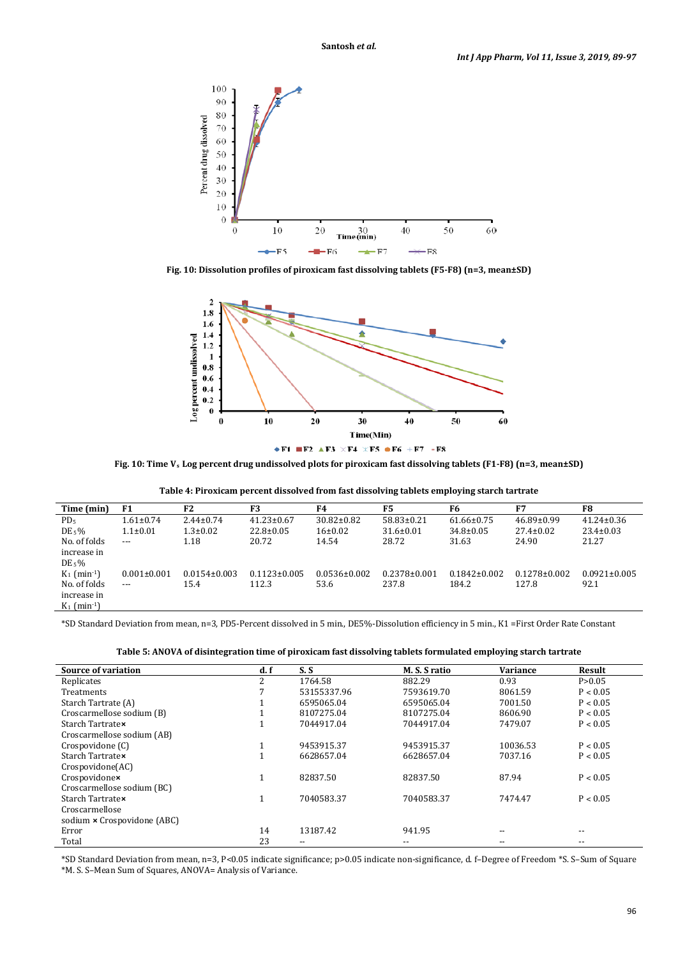

**Fig. 10: Dissolution profiles of piroxicam fast dissolving tablets (F5-F8) (n=3, mean±SD)**



**Fig. 10: Time Vs Log percent drug undissolved plots for piroxicam fast dissolving tablets (F1-F8) (n=3, mean±SD)**

|  |  |  | Table 4: Piroxicam percent dissolved from fast dissolving tablets employing starch tartrate |
|--|--|--|---------------------------------------------------------------------------------------------|
|--|--|--|---------------------------------------------------------------------------------------------|

| Time (min)                 | F <sub>1</sub>    | F <sub>2</sub>   | F3                 | F4                 | F5                 | F6                 | F7                 | F8                 |
|----------------------------|-------------------|------------------|--------------------|--------------------|--------------------|--------------------|--------------------|--------------------|
| PD <sub>5</sub>            | $1.61 \pm 0.74$   | $2.44 \pm 0.74$  | $41.23 \pm 0.67$   | $30.82 \pm 0.82$   | 58.83±0.21         | $61.66 \pm 0.75$   | $46.89 \pm 0.99$   | $41.24 \pm 0.36$   |
| $DE5$ %                    | $1.1 \pm 0.01$    | $1.3 \pm 0.02$   | $22.8 \pm 0.05$    | $16+0.02$          | $31.6 \pm 0.01$    | $34.8 \pm 0.05$    | $27.4 \pm 0.02$    | $23.4 \pm 0.03$    |
| No. of folds               | $---$             | 1.18             | 20.72              | 14.54              | 28.72              | 31.63              | 24.90              | 21.27              |
| increase in                |                   |                  |                    |                    |                    |                    |                    |                    |
| $DE_5\%$                   |                   |                  |                    |                    |                    |                    |                    |                    |
| $K_1$ (min <sup>-1</sup> ) | $0.001 \pm 0.001$ | $0.0154\pm0.003$ | $0.1123 \pm 0.005$ | $0.0536 \pm 0.002$ | $0.2378 \pm 0.001$ | $0.1842 \pm 0.002$ | $0.1278 \pm 0.002$ | $0.0921 \pm 0.005$ |
| No. of folds               | $---$             | 15.4             | 112.3              | 53.6               | 237.8              | 184.2              | 127.8              | 92.1               |
| increase in                |                   |                  |                    |                    |                    |                    |                    |                    |
| $K_1$ (min <sup>-1</sup> ) |                   |                  |                    |                    |                    |                    |                    |                    |

\*SD Standard Deviation from mean, n=3, PD5-Percent dissolved in 5 min., DE5%-Dissolution efficiency in 5 min., K1 =First Order Rate Constant

| Table 5: ANOVA of disintegration time of piroxicam fast dissolving tablets formulated employing starch tartrate |  |  |
|-----------------------------------------------------------------------------------------------------------------|--|--|
|-----------------------------------------------------------------------------------------------------------------|--|--|

| Source of variation         | d. f | S.S         | M. S. S ratio            | Variance | Result   |
|-----------------------------|------|-------------|--------------------------|----------|----------|
| Replicates                  | 2    | 1764.58     | 882.29                   | 0.93     | P > 0.05 |
| Treatments                  | 7    | 53155337.96 | 7593619.70               | 8061.59  | P < 0.05 |
| Starch Tartrate (A)         |      | 6595065.04  | 6595065.04               | 7001.50  | P < 0.05 |
| Croscarmellose sodium (B)   |      | 8107275.04  | 8107275.04               | 8606.90  | P < 0.05 |
| Starch Tartratex            |      | 7044917.04  | 7044917.04               | 7479.07  | P < 0.05 |
| Croscarmellose sodium (AB)  |      |             |                          |          |          |
| Crospovidone (C)            | T    | 9453915.37  | 9453915.37               | 10036.53 | P < 0.05 |
| <b>Starch Tartratex</b>     |      | 6628657.04  | 6628657.04               | 7037.16  | P < 0.05 |
| Crospovidone(AC)            |      |             |                          |          |          |
| Crospovidonex               |      | 82837.50    | 82837.50                 | 87.94    | P < 0.05 |
| Croscarmellose sodium (BC)  |      |             |                          |          |          |
| Starch Tartratex            |      | 7040583.37  | 7040583.37               | 7474.47  | P < 0.05 |
| Croscarmellose              |      |             |                          |          |          |
| sodium × Crospovidone (ABC) |      |             |                          |          |          |
| Error                       | 14   | 13187.42    | 941.95                   | --       | --       |
| Total                       | 23   | $- -$       | $\overline{\phantom{m}}$ | --       | $- -$    |
|                             |      |             |                          |          |          |

\*SD Standard Deviation from mean, n=3, P<0.05 indicate significance; p>0.05 indicate non-significance, d. f–Degree of Freedom \*S. S–Sum of Square \*M. S. S–Mean Sum of Squares, ANOVA= Analysis of Variance.